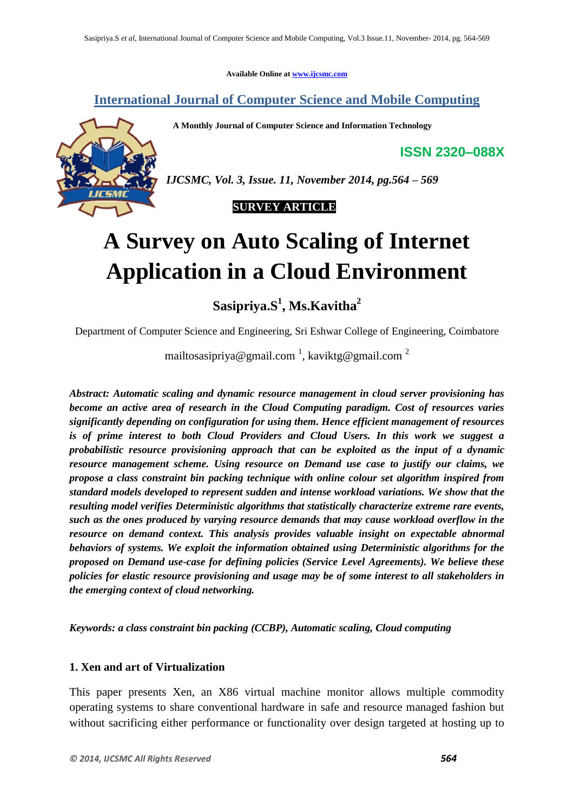**Available Online at www.ijcsmc.com**

**International Journal of Computer Science and Mobile Computing**

 **A Monthly Journal of Computer Science and Information Technology**

**ISSN 2320–088X**



*IJCSMC, Vol. 3, Issue. 11, November 2014, pg.564 – 569*



# **A Survey on Auto Scaling of Internet Application in a Cloud Environment**

**Sasipriya.S 1 , Ms.Kavitha<sup>2</sup>**

Department of Computer Science and Engineering, Sri Eshwar College of Engineering, Coimbatore

mailtosasipriya@gmail.com  $\frac{1}{2}$ , kaviktg@gmail.com  $\frac{2}{3}$ 

*Abstract: Automatic scaling and dynamic resource management in cloud server provisioning has become an active area of research in the Cloud Computing paradigm. Cost of resources varies significantly depending on configuration for using them. Hence efficient management of resources is of prime interest to both Cloud Providers and Cloud Users. In this work we suggest a probabilistic resource provisioning approach that can be exploited as the input of a dynamic resource management scheme. Using resource on Demand use case to justify our claims, we propose a class constraint bin packing technique with online colour set algorithm inspired from standard models developed to represent sudden and intense workload variations. We show that the resulting model verifies Deterministic algorithms that statistically characterize extreme rare events, such as the ones produced by varying resource demands that may cause workload overflow in the resource on demand context. This analysis provides valuable insight on expectable abnormal behaviors of systems. We exploit the information obtained using Deterministic algorithms for the proposed on Demand use-case for defining policies (Service Level Agreements). We believe these policies for elastic resource provisioning and usage may be of some interest to all stakeholders in the emerging context of cloud networking.*

*Keywords: a class constraint bin packing (CCBP), Automatic scaling, Cloud computing*

#### **1. Xen and art of Virtualization**

This paper presents Xen, an X86 virtual machine monitor allows multiple commodity operating systems to share conventional hardware in safe and resource managed fashion but without sacrificing either performance or functionality over design targeted at hosting up to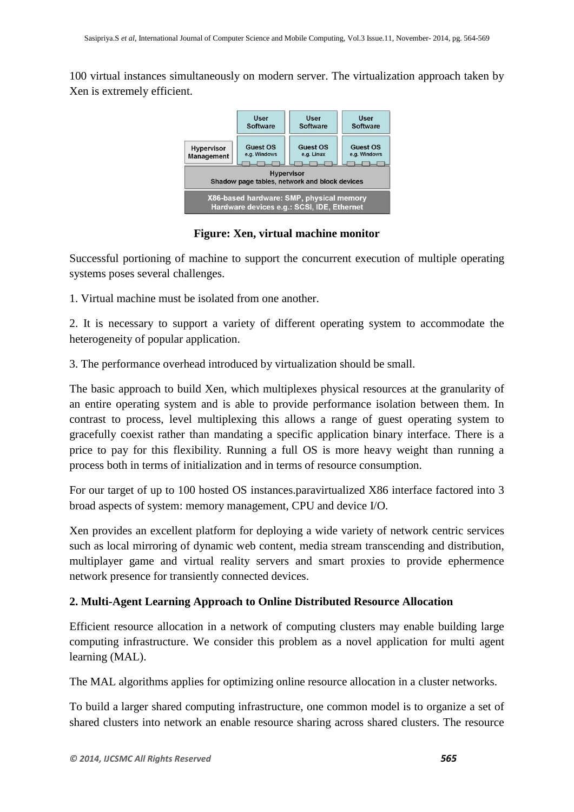100 virtual instances simultaneously on modern server. The virtualization approach taken by Xen is extremely efficient.



**Figure: Xen, virtual machine monitor**

Successful portioning of machine to support the concurrent execution of multiple operating systems poses several challenges.

1. Virtual machine must be isolated from one another.

2. It is necessary to support a variety of different operating system to accommodate the heterogeneity of popular application.

3. The performance overhead introduced by virtualization should be small.

The basic approach to build Xen, which multiplexes physical resources at the granularity of an entire operating system and is able to provide performance isolation between them. In contrast to process, level multiplexing this allows a range of guest operating system to gracefully coexist rather than mandating a specific application binary interface. There is a price to pay for this flexibility. Running a full OS is more heavy weight than running a process both in terms of initialization and in terms of resource consumption.

For our target of up to 100 hosted OS instances.paravirtualized X86 interface factored into 3 broad aspects of system: memory management, CPU and device I/O.

Xen provides an excellent platform for deploying a wide variety of network centric services such as local mirroring of dynamic web content, media stream transcending and distribution, multiplayer game and virtual reality servers and smart proxies to provide ephermence network presence for transiently connected devices.

# **2. Multi-Agent Learning Approach to Online Distributed Resource Allocation**

Efficient resource allocation in a network of computing clusters may enable building large computing infrastructure. We consider this problem as a novel application for multi agent learning (MAL).

The MAL algorithms applies for optimizing online resource allocation in a cluster networks.

To build a larger shared computing infrastructure, one common model is to organize a set of shared clusters into network an enable resource sharing across shared clusters. The resource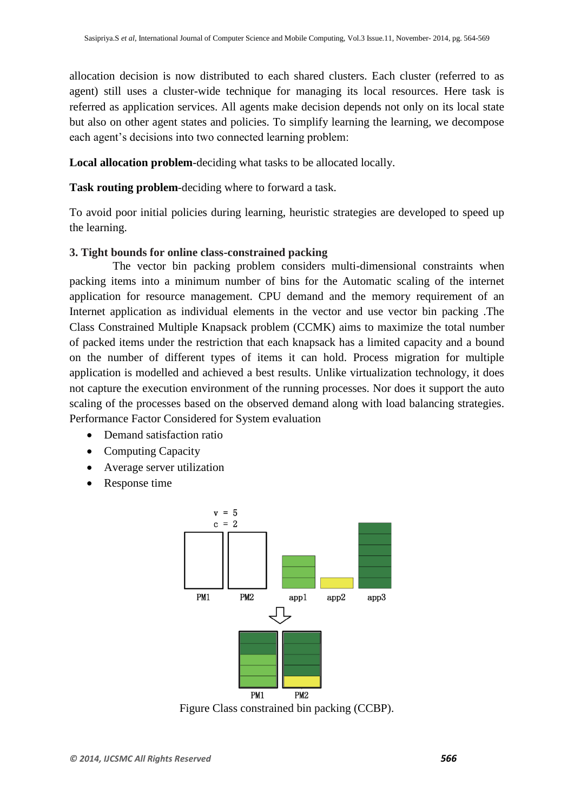allocation decision is now distributed to each shared clusters. Each cluster (referred to as agent) still uses a cluster-wide technique for managing its local resources. Here task is referred as application services. All agents make decision depends not only on its local state but also on other agent states and policies. To simplify learning the learning, we decompose each agent's decisions into two connected learning problem:

**Local allocation problem**-deciding what tasks to be allocated locally.

**Task routing problem**-deciding where to forward a task.

To avoid poor initial policies during learning, heuristic strategies are developed to speed up the learning.

#### **3. Tight bounds for online class-constrained packing**

 The vector bin packing problem considers multi-dimensional constraints when packing items into a minimum number of bins for the Automatic scaling of the internet application for resource management. CPU demand and the memory requirement of an Internet application as individual elements in the vector and use vector bin packing .The Class Constrained Multiple Knapsack problem (CCMK) aims to maximize the total number of packed items under the restriction that each knapsack has a limited capacity and a bound on the number of different types of items it can hold. Process migration for multiple application is modelled and achieved a best results. Unlike virtualization technology, it does not capture the execution environment of the running processes. Nor does it support the auto scaling of the processes based on the observed demand along with load balancing strategies. Performance Factor Considered for System evaluation

- Demand satisfaction ratio
- Computing Capacity
- Average server utilization
- Response time



Figure Class constrained bin packing (CCBP).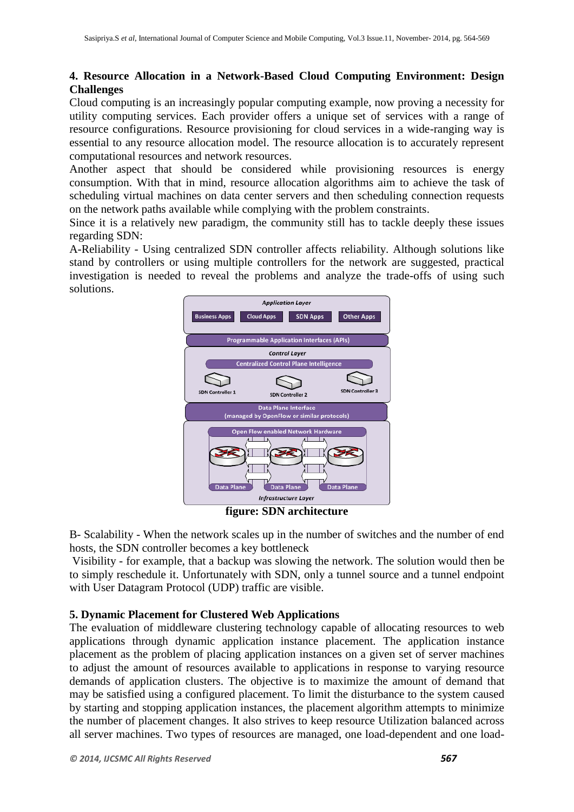### **4. Resource Allocation in a Network-Based Cloud Computing Environment: Design Challenges**

Cloud computing is an increasingly popular computing example, now proving a necessity for utility computing services. Each provider offers a unique set of services with a range of resource configurations. Resource provisioning for cloud services in a wide-ranging way is essential to any resource allocation model. The resource allocation is to accurately represent computational resources and network resources.

Another aspect that should be considered while provisioning resources is energy consumption. With that in mind, resource allocation algorithms aim to achieve the task of scheduling virtual machines on data center servers and then scheduling connection requests on the network paths available while complying with the problem constraints.

Since it is a relatively new paradigm, the community still has to tackle deeply these issues regarding SDN:

A-Reliability - Using centralized SDN controller affects reliability. Although solutions like stand by controllers or using multiple controllers for the network are suggested, practical investigation is needed to reveal the problems and analyze the trade-offs of using such solutions.



**figure: SDN architecture**

B- Scalability - When the network scales up in the number of switches and the number of end hosts, the SDN controller becomes a key bottleneck

Visibility - for example, that a backup was slowing the network. The solution would then be to simply reschedule it. Unfortunately with SDN, only a tunnel source and a tunnel endpoint with User Datagram Protocol (UDP) traffic are visible.

# **5. Dynamic Placement for Clustered Web Applications**

The evaluation of middleware clustering technology capable of allocating resources to web applications through dynamic application instance placement. The application instance placement as the problem of placing application instances on a given set of server machines to adjust the amount of resources available to applications in response to varying resource demands of application clusters. The objective is to maximize the amount of demand that may be satisfied using a configured placement. To limit the disturbance to the system caused by starting and stopping application instances, the placement algorithm attempts to minimize the number of placement changes. It also strives to keep resource Utilization balanced across all server machines. Two types of resources are managed, one load-dependent and one load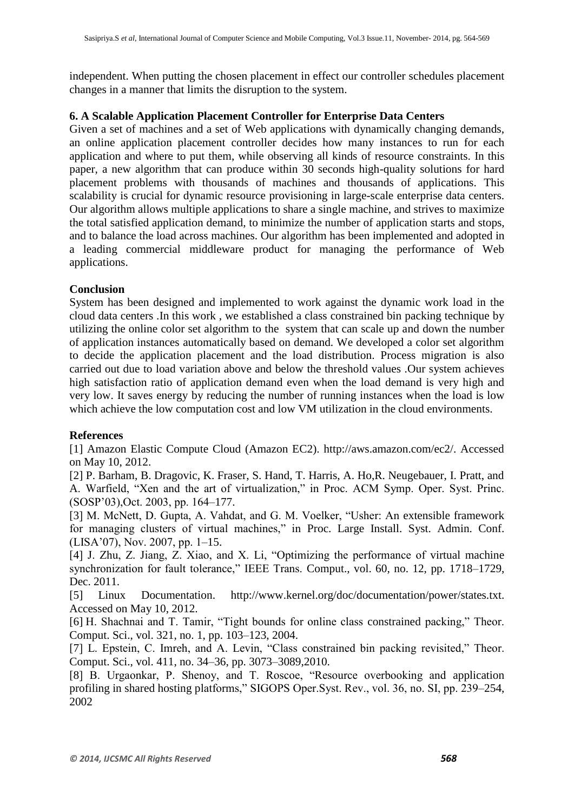independent. When putting the chosen placement in effect our controller schedules placement changes in a manner that limits the disruption to the system.

#### **6. A Scalable Application Placement Controller for Enterprise Data Centers**

Given a set of machines and a set of Web applications with dynamically changing demands, an online application placement controller decides how many instances to run for each application and where to put them, while observing all kinds of resource constraints. In this paper, a new algorithm that can produce within 30 seconds high-quality solutions for hard placement problems with thousands of machines and thousands of applications. This scalability is crucial for dynamic resource provisioning in large-scale enterprise data centers. Our algorithm allows multiple applications to share a single machine, and strives to maximize the total satisfied application demand, to minimize the number of application starts and stops, and to balance the load across machines. Our algorithm has been implemented and adopted in a leading commercial middleware product for managing the performance of Web applications.

#### **Conclusion**

System has been designed and implemented to work against the dynamic work load in the cloud data centers .In this work , we established a class constrained bin packing technique by utilizing the online color set algorithm to the system that can scale up and down the number of application instances automatically based on demand. We developed a color set algorithm to decide the application placement and the load distribution. Process migration is also carried out due to load variation above and below the threshold values .Our system achieves high satisfaction ratio of application demand even when the load demand is very high and very low. It saves energy by reducing the number of running instances when the load is low which achieve the low computation cost and low VM utilization in the cloud environments.

#### **References**

[1] Amazon Elastic Compute Cloud (Amazon EC2). http://aws.amazon.com/ec2/. Accessed on May 10, 2012.

[2] P. Barham, B. Dragovic, K. Fraser, S. Hand, T. Harris, A. Ho,R. Neugebauer, I. Pratt, and A. Warfield, "Xen and the art of virtualization," in Proc. ACM Symp. Oper. Syst. Princ. (SOSP'03),Oct. 2003, pp. 164–177.

[3] M. McNett, D. Gupta, A. Vahdat, and G. M. Voelker, "Usher: An extensible framework for managing clusters of virtual machines," in Proc. Large Install. Syst. Admin. Conf. (LISA'07), Nov. 2007, pp. 1–15.

[4] J. Zhu, Z. Jiang, Z. Xiao, and X. Li, "Optimizing the performance of virtual machine synchronization for fault tolerance," IEEE Trans. Comput., vol. 60, no. 12, pp. 1718–1729, Dec. 2011.

[5] Linux Documentation. http://www.kernel.org/doc/documentation/power/states.txt. Accessed on May 10, 2012.

[6] H. Shachnai and T. Tamir, "Tight bounds for online class constrained packing," Theor. Comput. Sci., vol. 321, no. 1, pp. 103–123, 2004.

[7] L. Epstein, C. Imreh, and A. Levin, "Class constrained bin packing revisited," Theor. Comput. Sci., vol. 411, no. 34–36, pp. 3073–3089,2010.

[8] B. Urgaonkar, P. Shenoy, and T. Roscoe, "Resource overbooking and application profiling in shared hosting platforms," SIGOPS Oper.Syst. Rev., vol. 36, no. SI, pp. 239–254, 2002